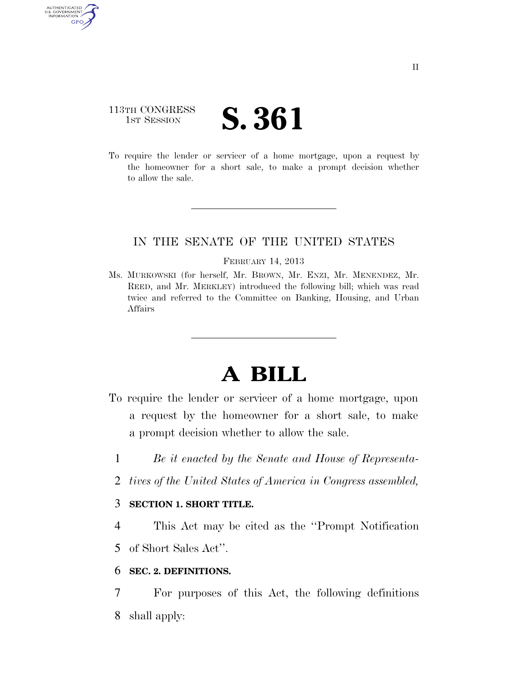## 113TH CONGRESS **1ST SESSION S. 361**

AUTHENTICATED U.S. GOVERNMENT GPO

> To require the lender or servicer of a home mortgage, upon a request by the homeowner for a short sale, to make a prompt decision whether to allow the sale.

## IN THE SENATE OF THE UNITED STATES

#### FEBRUARY 14, 2013

Ms. MURKOWSKI (for herself, Mr. BROWN, Mr. ENZI, Mr. MENENDEZ, Mr. REED, and Mr. MERKLEY) introduced the following bill; which was read twice and referred to the Committee on Banking, Housing, and Urban Affairs

# **A BILL**

- To require the lender or servicer of a home mortgage, upon a request by the homeowner for a short sale, to make a prompt decision whether to allow the sale.
	- 1 *Be it enacted by the Senate and House of Representa-*
	- 2 *tives of the United States of America in Congress assembled,*

### 3 **SECTION 1. SHORT TITLE.**

4 This Act may be cited as the ''Prompt Notification 5 of Short Sales Act''.

### 6 **SEC. 2. DEFINITIONS.**

7 For purposes of this Act, the following definitions 8 shall apply: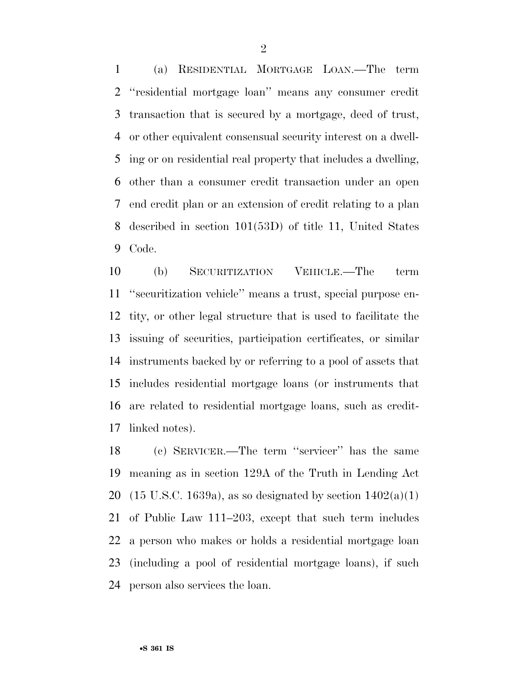(a) RESIDENTIAL MORTGAGE LOAN.—The term ''residential mortgage loan'' means any consumer credit transaction that is secured by a mortgage, deed of trust, or other equivalent consensual security interest on a dwell- ing or on residential real property that includes a dwelling, other than a consumer credit transaction under an open end credit plan or an extension of credit relating to a plan described in section 101(53D) of title 11, United States Code.

 (b) SECURITIZATION VEHICLE.—The term ''securitization vehicle'' means a trust, special purpose en- tity, or other legal structure that is used to facilitate the issuing of securities, participation certificates, or similar instruments backed by or referring to a pool of assets that includes residential mortgage loans (or instruments that are related to residential mortgage loans, such as credit-linked notes).

 (c) SERVICER.—The term ''servicer'' has the same meaning as in section 129A of the Truth in Lending Act 20 (15 U.S.C. 1639a), as so designated by section  $1402(a)(1)$  of Public Law 111–203, except that such term includes a person who makes or holds a residential mortgage loan (including a pool of residential mortgage loans), if such person also services the loan.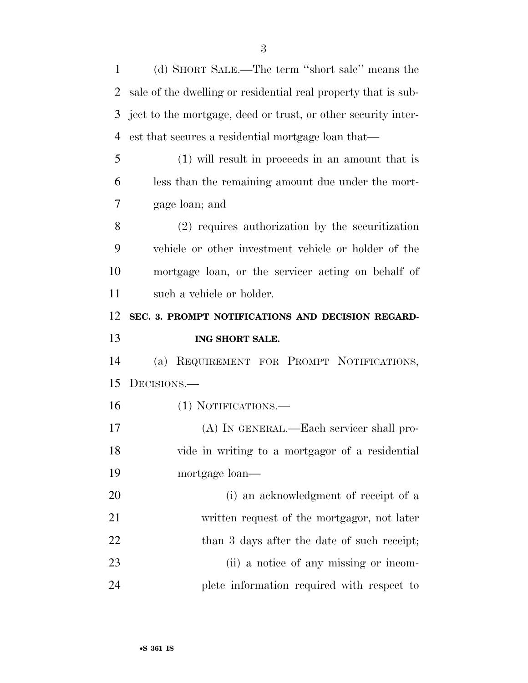| 1                    | (d) SHORT SALE.—The term "short sale" means the                |
|----------------------|----------------------------------------------------------------|
| 2                    | sale of the dwelling or residential real property that is sub- |
| 3                    | ject to the mortgage, deed or trust, or other security inter-  |
| 4                    | est that secures a residential mortgage loan that—             |
| 5                    | $(1)$ will result in proceeds in an amount that is             |
| 6                    | less than the remaining amount due under the mort-             |
| 7                    | gage loan; and                                                 |
| 8                    | $(2)$ requires authorization by the securitization             |
| 9                    | vehicle or other investment vehicle or holder of the           |
| 10                   | mortgage loan, or the servicer acting on behalf of             |
| 11                   | such a vehicle or holder.                                      |
| 12                   | SEC. 3. PROMPT NOTIFICATIONS AND DECISION REGARD-              |
|                      |                                                                |
|                      | ING SHORT SALE.                                                |
|                      | REQUIREMENT FOR PROMPT NOTIFICATIONS,<br>(a)                   |
|                      | DECISIONS.-                                                    |
| 13<br>14<br>15<br>16 | (1) NOTIFICATIONS.—                                            |
| 17                   | (A) IN GENERAL.—Each servicer shall pro-                       |
|                      | vide in writing to a mortgagor of a residential                |
|                      | mortgage loan—                                                 |
| 18<br>19<br>20       | (i) an acknowledgment of receipt of a                          |
| 21                   | written request of the mortgagor, not later                    |
| 22                   | than 3 days after the date of such receipt;                    |
| 23                   | (ii) a notice of any missing or incom-                         |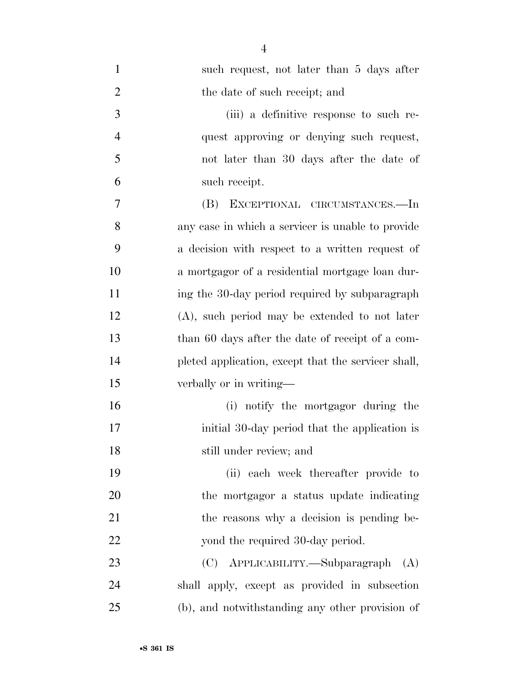| $\mathbf{1}$   | such request, not later than 5 days after           |
|----------------|-----------------------------------------------------|
| $\overline{2}$ | the date of such receipt; and                       |
| 3              | (iii) a definitive response to such re-             |
| $\overline{4}$ | quest approving or denying such request,            |
| 5              | not later than 30 days after the date of            |
| 6              | such receipt.                                       |
| 7              | EXCEPTIONAL CIRCUMSTANCES.—In<br>(B)                |
| 8              | any case in which a servicer is unable to provide   |
| 9              | a decision with respect to a written request of     |
| 10             | a mortgagor of a residential mortgage loan dur-     |
| 11             | ing the 30-day period required by subparagraph      |
| 12             | $(A)$ , such period may be extended to not later    |
| 13             | than 60 days after the date of receipt of a com-    |
| 14             | pleted application, except that the servicer shall, |
| 15             | verbally or in writing—                             |
| 16             | (i) notify the mortgagor during the                 |
| 17             | initial 30-day period that the application is       |
| 18             | still under review; and                             |
| 19             | (ii) each week thereafter provide to                |
| 20             | the mortgagor a status update indicating            |
| 21             | the reasons why a decision is pending be-           |
| 22             | yond the required 30-day period.                    |
| 23             | (C) APPLICABILITY.—Subparagraph<br>(A)              |
| 24             | shall apply, except as provided in subsection       |
| 25             | (b), and notwithstanding any other provision of     |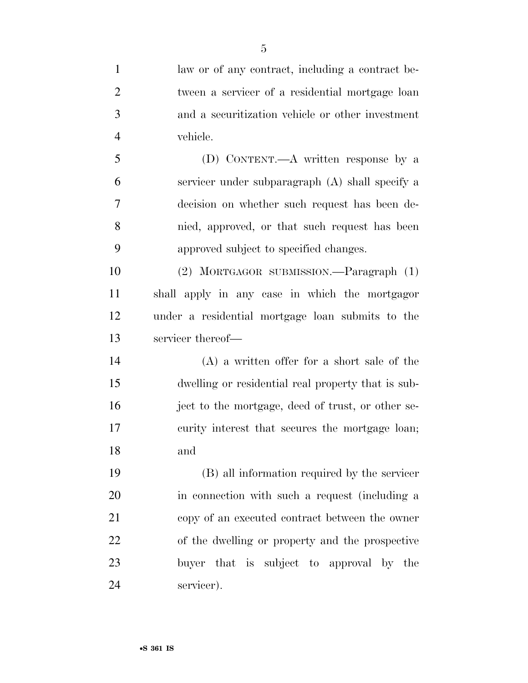law or of any contract, including a contract be- tween a servicer of a residential mortgage loan and a securitization vehicle or other investment vehicle. (D) CONTENT.—A written response by a servicer under subparagraph (A) shall specify a decision on whether such request has been de- nied, approved, or that such request has been approved subject to specified changes. (2) MORTGAGOR SUBMISSION.—Paragraph (1) shall apply in any case in which the mortgagor under a residential mortgage loan submits to the servicer thereof— (A) a written offer for a short sale of the dwelling or residential real property that is sub- ject to the mortgage, deed of trust, or other se- curity interest that secures the mortgage loan; and (B) all information required by the servicer in connection with such a request (including a copy of an executed contract between the owner of the dwelling or property and the prospective buyer that is subject to approval by the servicer).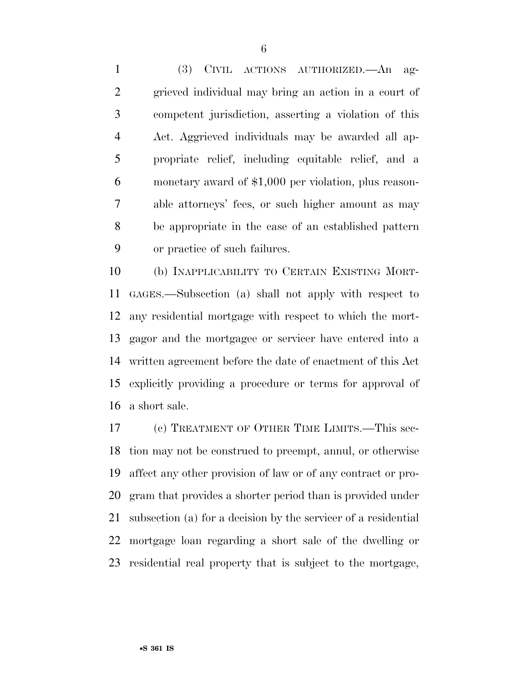(3) CIVIL ACTIONS AUTHORIZED.—An ag- grieved individual may bring an action in a court of competent jurisdiction, asserting a violation of this Act. Aggrieved individuals may be awarded all ap- propriate relief, including equitable relief, and a monetary award of \$1,000 per violation, plus reason- able attorneys' fees, or such higher amount as may be appropriate in the case of an established pattern or practice of such failures.

 (b) INAPPLICABILITY TO CERTAIN EXISTING MORT- GAGES.—Subsection (a) shall not apply with respect to any residential mortgage with respect to which the mort- gagor and the mortgagee or servicer have entered into a written agreement before the date of enactment of this Act explicitly providing a procedure or terms for approval of a short sale.

 (c) TREATMENT OF OTHER TIME LIMITS.—This sec- tion may not be construed to preempt, annul, or otherwise affect any other provision of law or of any contract or pro- gram that provides a shorter period than is provided under subsection (a) for a decision by the servicer of a residential mortgage loan regarding a short sale of the dwelling or residential real property that is subject to the mortgage,